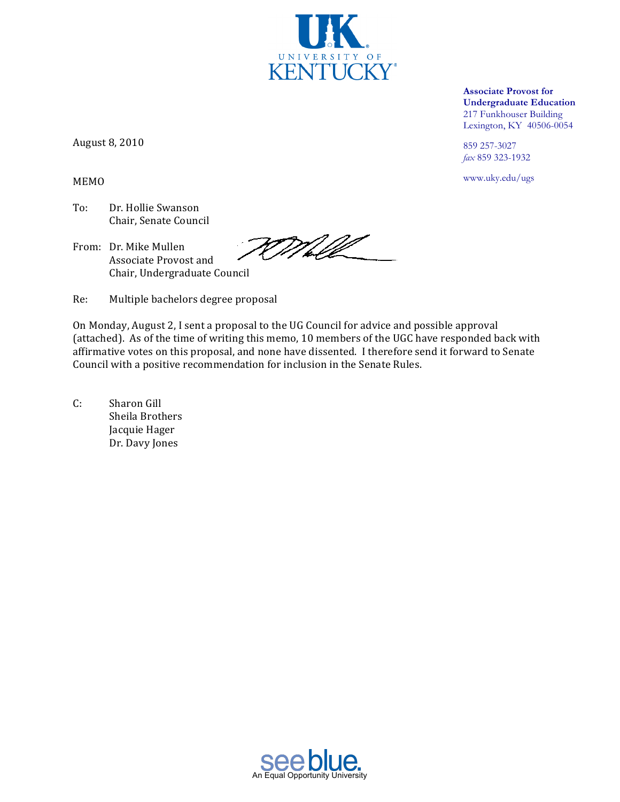**Associate Provost for Undergraduate Education** 217 Funkhouser Building Lexington, KY 40506-0054

859 257-3027 fax 859 323-1932

www.uky.edu/ugs

August 8, 2010

**MEMO** 

- To: Dr. Hollie Swanson Chair, Senate Council
- From: Dr. Mike Mullen Associate Provost and Chair, Undergraduate Council

FOMMI

Re: Multiple bachelors degree proposal

On Monday, August 2, I sent a proposal to the UG Council for advice and possible approval (attached). As of the time of writing this memo, 10 members of the UGC have responded back with affirmative votes on this proposal, and none have dissented. I therefore send it forward to Senate Council with a positive recommendation for inclusion in the Senate Rules.

 $C:$ Sharon Gill Sheila Brothers Jacquie Hager Dr. Davy Jones